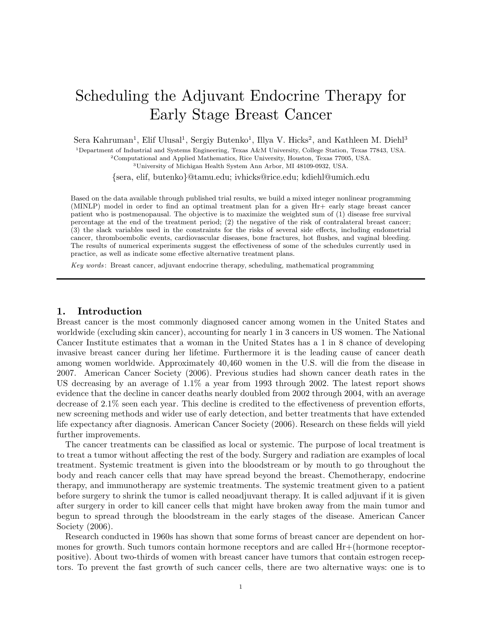# Scheduling the Adjuvant Endocrine Therapy for Early Stage Breast Cancer

Sera Kahruman<sup>1</sup>, Elif Ulusal<sup>1</sup>, Sergiy Butenko<sup>1</sup>, Illya V. Hicks<sup>2</sup>, and Kathleen M. Diehl<sup>3</sup>

<sup>1</sup>Department of Industrial and Systems Engineering, Texas A&M University, College Station, Texas 77843, USA. <sup>2</sup>Computational and Applied Mathematics, Rice University, Houston, Texas 77005, USA.

<sup>3</sup>University of Michigan Health System Ann Arbor, MI 48109-0932, USA.

{sera, elif, butenko}@tamu.edu; ivhicks@rice.edu; kdiehl@umich.edu

Based on the data available through published trial results, we build a mixed integer nonlinear programming (MINLP) model in order to find an optimal treatment plan for a given Hr+ early stage breast cancer patient who is postmenopausal. The objective is to maximize the weighted sum of (1) disease free survival percentage at the end of the treatment period; (2) the negative of the risk of contralateral breast cancer; (3) the slack variables used in the constraints for the risks of several side effects, including endometrial cancer, thromboembolic events, cardiovascular diseases, bone fractures, hot flushes, and vaginal bleeding. The results of numerical experiments suggest the effectiveness of some of the schedules currently used in practice, as well as indicate some effective alternative treatment plans.

Key words : Breast cancer, adjuvant endocrine therapy, scheduling, mathematical programming

## 1. Introduction

Breast cancer is the most commonly diagnosed cancer among women in the United States and worldwide (excluding skin cancer), accounting for nearly 1 in 3 cancers in US women. The National Cancer Institute estimates that a woman in the United States has a 1 in 8 chance of developing invasive breast cancer during her lifetime. Furthermore it is the leading cause of cancer death among women worldwide. Approximately 40,460 women in the U.S. will die from the disease in 2007. American Cancer Society (2006). Previous studies had shown cancer death rates in the US decreasing by an average of 1.1% a year from 1993 through 2002. The latest report shows evidence that the decline in cancer deaths nearly doubled from 2002 through 2004, with an average decrease of 2.1% seen each year. This decline is credited to the effectiveness of prevention efforts, new screening methods and wider use of early detection, and better treatments that have extended life expectancy after diagnosis. American Cancer Society (2006). Research on these fields will yield further improvements.

The cancer treatments can be classified as local or systemic. The purpose of local treatment is to treat a tumor without affecting the rest of the body. Surgery and radiation are examples of local treatment. Systemic treatment is given into the bloodstream or by mouth to go throughout the body and reach cancer cells that may have spread beyond the breast. Chemotherapy, endocrine therapy, and immunotherapy are systemic treatments. The systemic treatment given to a patient before surgery to shrink the tumor is called neoadjuvant therapy. It is called adjuvant if it is given after surgery in order to kill cancer cells that might have broken away from the main tumor and begun to spread through the bloodstream in the early stages of the disease. American Cancer Society (2006).

Research conducted in 1960s has shown that some forms of breast cancer are dependent on hormones for growth. Such tumors contain hormone receptors and are called Hr+(hormone receptorpositive). About two-thirds of women with breast cancer have tumors that contain estrogen receptors. To prevent the fast growth of such cancer cells, there are two alternative ways: one is to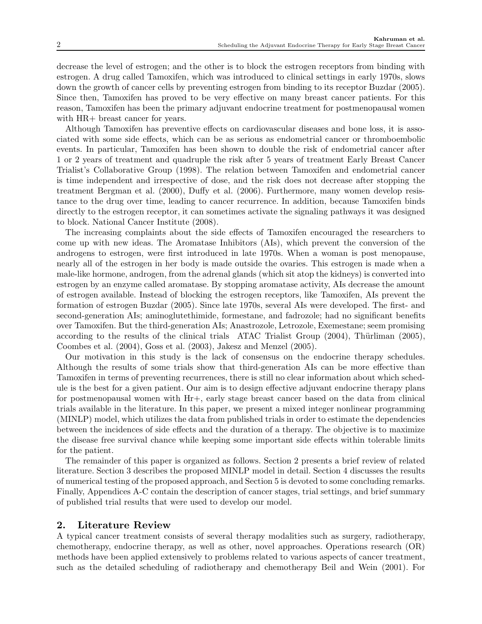decrease the level of estrogen; and the other is to block the estrogen receptors from binding with estrogen. A drug called Tamoxifen, which was introduced to clinical settings in early 1970s, slows down the growth of cancer cells by preventing estrogen from binding to its receptor Buzdar (2005). Since then, Tamoxifen has proved to be very effective on many breast cancer patients. For this reason, Tamoxifen has been the primary adjuvant endocrine treatment for postmenopausal women with  $HR+$  breast cancer for years.

Although Tamoxifen has preventive effects on cardiovascular diseases and bone loss, it is associated with some side effects, which can be as serious as endometrial cancer or thromboembolic events. In particular, Tamoxifen has been shown to double the risk of endometrial cancer after 1 or 2 years of treatment and quadruple the risk after 5 years of treatment Early Breast Cancer Trialist's Collaborative Group (1998). The relation between Tamoxifen and endometrial cancer is time independent and irrespective of dose, and the risk does not decrease after stopping the treatment Bergman et al. (2000), Duffy et al. (2006). Furthermore, many women develop resistance to the drug over time, leading to cancer recurrence. In addition, because Tamoxifen binds directly to the estrogen receptor, it can sometimes activate the signaling pathways it was designed to block. National Cancer Institute (2008).

The increasing complaints about the side effects of Tamoxifen encouraged the researchers to come up with new ideas. The Aromatase Inhibitors (AIs), which prevent the conversion of the androgens to estrogen, were first introduced in late 1970s. When a woman is post menopause, nearly all of the estrogen in her body is made outside the ovaries. This estrogen is made when a male-like hormone, androgen, from the adrenal glands (which sit atop the kidneys) is converted into estrogen by an enzyme called aromatase. By stopping aromatase activity, AIs decrease the amount of estrogen available. Instead of blocking the estrogen receptors, like Tamoxifen, AIs prevent the formation of estrogen Buzdar (2005). Since late 1970s, several AIs were developed. The first- and second-generation AIs; aminoglutethimide, formestane, and fadrozole; had no significant benefits over Tamoxifen. But the third-generation AIs; Anastrozole, Letrozole, Exemestane; seem promising according to the results of the clinical trials ATAC Trialist Group  $(2004)$ , Thürliman  $(2005)$ , Coombes et al. (2004), Goss et al. (2003), Jakesz and Menzel (2005).

Our motivation in this study is the lack of consensus on the endocrine therapy schedules. Although the results of some trials show that third-generation AIs can be more effective than Tamoxifen in terms of preventing recurrences, there is still no clear information about which schedule is the best for a given patient. Our aim is to design effective adjuvant endocrine therapy plans for postmenopausal women with Hr+, early stage breast cancer based on the data from clinical trials available in the literature. In this paper, we present a mixed integer nonlinear programming (MINLP) model, which utilizes the data from published trials in order to estimate the dependencies between the incidences of side effects and the duration of a therapy. The objective is to maximize the disease free survival chance while keeping some important side effects within tolerable limits for the patient.

The remainder of this paper is organized as follows. Section 2 presents a brief review of related literature. Section 3 describes the proposed MINLP model in detail. Section 4 discusses the results of numerical testing of the proposed approach, and Section 5 is devoted to some concluding remarks. Finally, Appendices A-C contain the description of cancer stages, trial settings, and brief summary of published trial results that were used to develop our model.

# 2. Literature Review

A typical cancer treatment consists of several therapy modalities such as surgery, radiotherapy, chemotherapy, endocrine therapy, as well as other, novel approaches. Operations research (OR) methods have been applied extensively to problems related to various aspects of cancer treatment, such as the detailed scheduling of radiotherapy and chemotherapy Beil and Wein (2001). For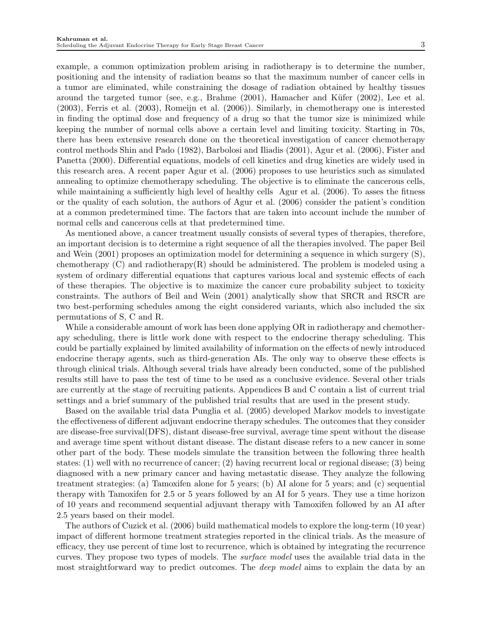example, a common optimization problem arising in radiotherapy is to determine the number, positioning and the intensity of radiation beams so that the maximum number of cancer cells in a tumor are eliminated, while constraining the dosage of radiation obtained by healthy tissues around the targeted tumor (see, e.g., Brahme  $(2001)$ , Hamacher and Küfer  $(2002)$ , Lee et al. (2003), Ferris et al. (2003), Romeijn et al. (2006)). Similarly, in chemotherapy one is interested in finding the optimal dose and frequency of a drug so that the tumor size is minimized while keeping the number of normal cells above a certain level and limiting toxicity. Starting in 70s, there has been extensive research done on the theoretical investigation of cancer chemotherapy control methods Shin and Pado (1982), Barbolosi and Iliadis (2001), Agur et al. (2006), Fister and Panetta (2000). Differential equations, models of cell kinetics and drug kinetics are widely used in this research area. A recent paper Agur et al. (2006) proposes to use heuristics such as simulated annealing to optimize chemotherapy scheduling. The objective is to eliminate the cancerous cells, while maintaining a sufficiently high level of healthy cells Agur et al. (2006). To asses the fitness or the quality of each solution, the authors of Agur et al. (2006) consider the patient's condition at a common predetermined time. The factors that are taken into account include the number of normal cells and cancerous cells at that predetermined time.

As mentioned above, a cancer treatment usually consists of several types of therapies, therefore, an important decision is to determine a right sequence of all the therapies involved. The paper Beil and Wein (2001) proposes an optimization model for determining a sequence in which surgery (S), chemotherapy  $(C)$  and radiotherapy  $(R)$  should be administered. The problem is modeled using a system of ordinary differential equations that captures various local and systemic effects of each of these therapies. The objective is to maximize the cancer cure probability subject to toxicity constraints. The authors of Beil and Wein (2001) analytically show that SRCR and RSCR are two best-performing schedules among the eight considered variants, which also included the six permutations of S, C and R.

While a considerable amount of work has been done applying OR in radiotherapy and chemotherapy scheduling, there is little work done with respect to the endocrine therapy scheduling. This could be partially explained by limited availability of information on the effects of newly introduced endocrine therapy agents, such as third-generation AIs. The only way to observe these effects is through clinical trials. Although several trials have already been conducted, some of the published results still have to pass the test of time to be used as a conclusive evidence. Several other trials are currently at the stage of recruiting patients. Appendices B and C contain a list of current trial settings and a brief summary of the published trial results that are used in the present study.

Based on the available trial data Punglia et al. (2005) developed Markov models to investigate the effectiveness of different adjuvant endocrine therapy schedules. The outcomes that they consider are disease-free survival(DFS), distant disease-free survival, average time spent without the disease and average time spent without distant disease. The distant disease refers to a new cancer in some other part of the body. These models simulate the transition between the following three health states: (1) well with no recurrence of cancer; (2) having recurrent local or regional disease; (3) being diagnosed with a new primary cancer and having metastatic disease. They analyze the following treatment strategies: (a) Tamoxifen alone for 5 years; (b) AI alone for 5 years; and (c) sequential therapy with Tamoxifen for 2.5 or 5 years followed by an AI for 5 years. They use a time horizon of 10 years and recommend sequential adjuvant therapy with Tamoxifen followed by an AI after 2.5 years based on their model.

The authors of Cuzick et al. (2006) build mathematical models to explore the long-term (10 year) impact of different hormone treatment strategies reported in the clinical trials. As the measure of efficacy, they use percent of time lost to recurrence, which is obtained by integrating the recurrence curves. They propose two types of models. The surface model uses the available trial data in the most straightforward way to predict outcomes. The *deep model* aims to explain the data by an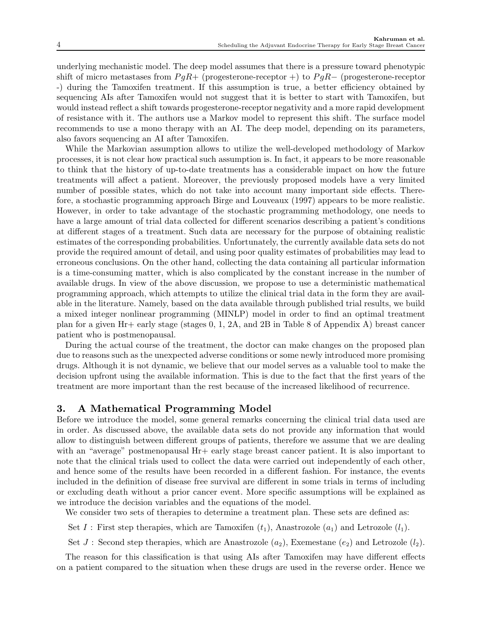underlying mechanistic model. The deep model assumes that there is a pressure toward phenotypic shift of micro metastases from  $PgR+$  (progesterone-receptor +) to  $PgR-$  (progesterone-receptor -) during the Tamoxifen treatment. If this assumption is true, a better efficiency obtained by sequencing AIs after Tamoxifen would not suggest that it is better to start with Tamoxifen, but would instead reflect a shift towards progesterone-receptor negativity and a more rapid development of resistance with it. The authors use a Markov model to represent this shift. The surface model recommends to use a mono therapy with an AI. The deep model, depending on its parameters, also favors sequencing an AI after Tamoxifen.

While the Markovian assumption allows to utilize the well-developed methodology of Markov processes, it is not clear how practical such assumption is. In fact, it appears to be more reasonable to think that the history of up-to-date treatments has a considerable impact on how the future treatments will affect a patient. Moreover, the previously proposed models have a very limited number of possible states, which do not take into account many important side effects. Therefore, a stochastic programming approach Birge and Louveaux (1997) appears to be more realistic. However, in order to take advantage of the stochastic programming methodology, one needs to have a large amount of trial data collected for different scenarios describing a patient's conditions at different stages of a treatment. Such data are necessary for the purpose of obtaining realistic estimates of the corresponding probabilities. Unfortunately, the currently available data sets do not provide the required amount of detail, and using poor quality estimates of probabilities may lead to erroneous conclusions. On the other hand, collecting the data containing all particular information is a time-consuming matter, which is also complicated by the constant increase in the number of available drugs. In view of the above discussion, we propose to use a deterministic mathematical programming approach, which attempts to utilize the clinical trial data in the form they are available in the literature. Namely, based on the data available through published trial results, we build a mixed integer nonlinear programming (MINLP) model in order to find an optimal treatment plan for a given Hr+ early stage (stages 0, 1, 2A, and 2B in Table 8 of Appendix A) breast cancer patient who is postmenopausal.

During the actual course of the treatment, the doctor can make changes on the proposed plan due to reasons such as the unexpected adverse conditions or some newly introduced more promising drugs. Although it is not dynamic, we believe that our model serves as a valuable tool to make the decision upfront using the available information. This is due to the fact that the first years of the treatment are more important than the rest because of the increased likelihood of recurrence.

# 3. A Mathematical Programming Model

Before we introduce the model, some general remarks concerning the clinical trial data used are in order. As discussed above, the available data sets do not provide any information that would allow to distinguish between different groups of patients, therefore we assume that we are dealing with an "average" postmenopausal Hr+ early stage breast cancer patient. It is also important to note that the clinical trials used to collect the data were carried out independently of each other, and hence some of the results have been recorded in a different fashion. For instance, the events included in the definition of disease free survival are different in some trials in terms of including or excluding death without a prior cancer event. More specific assumptions will be explained as we introduce the decision variables and the equations of the model.

We consider two sets of therapies to determine a treatment plan. These sets are defined as:

Set I : First step therapies, which are Tamoxifen  $(t_1)$ , Anastrozole  $(a_1)$  and Letrozole  $(l_1)$ .

Set J : Second step therapies, which are Anastrozole  $(a_2)$ , Exemestane  $(e_2)$  and Letrozole  $(l_2)$ .

The reason for this classification is that using AIs after Tamoxifen may have different effects on a patient compared to the situation when these drugs are used in the reverse order. Hence we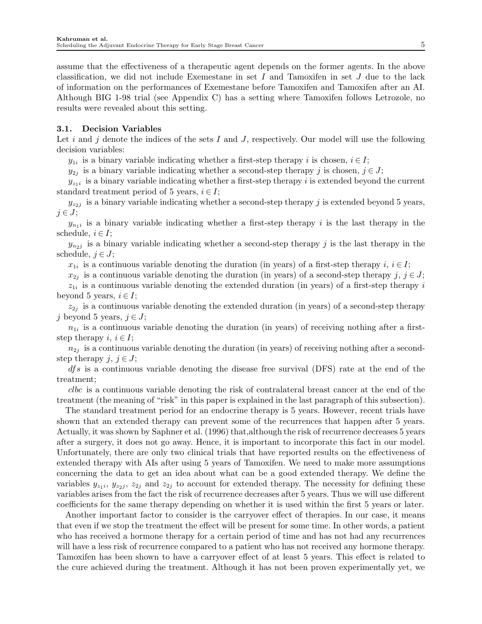assume that the effectiveness of a therapeutic agent depends on the former agents. In the above classification, we did not include Exemestane in set  $I$  and Tamoxifen in set  $J$  due to the lack of information on the performances of Exemestane before Tamoxifen and Tamoxifen after an AI. Although BIG 1-98 trial (see Appendix C) has a setting where Tamoxifen follows Letrozole, no results were revealed about this setting.

#### 3.1. Decision Variables

Let i and j denote the indices of the sets I and J, respectively. Our model will use the following decision variables:

 $y_{1i}$  is a binary variable indicating whether a first-step therapy i is chosen,  $i \in I$ ;

 $y_{2j}$  is a binary variable indicating whether a second-step therapy j is chosen,  $j \in J$ ;

 $y_{z1i}$  is a binary variable indicating whether a first-step therapy i is extended beyond the current standard treatment period of 5 years,  $i \in I$ ;

 $y_{z_2j}$  is a binary variable indicating whether a second-step therapy j is extended beyond 5 years,  $j \in J$ ;

 $y_{n_1i}$  is a binary variable indicating whether a first-step therapy i is the last therapy in the schedule,  $i \in I$ ;

 $y_{n_2j}$  is a binary variable indicating whether a second-step therapy j is the last therapy in the schedule,  $j \in J$ ;

 $x_{1i}$  is a continuous variable denoting the duration (in years) of a first-step therapy i,  $i \in I$ ;

 $x_{2j}$  is a continuous variable denoting the duration (in years) of a second-step therapy j,  $j \in J$ ;

 $z_{1i}$  is a continuous variable denoting the extended duration (in years) of a first-step therapy i beyond 5 years,  $i \in I$ ;

 $z_{2i}$  is a continuous variable denoting the extended duration (in years) of a second-step therapy j beyond 5 years,  $j \in J$ ;

 $n_{1i}$  is a continuous variable denoting the duration (in years) of receiving nothing after a firststep therapy  $i, i \in I$ ;

 $n_{2j}$  is a continuous variable denoting the duration (in years) of receiving nothing after a secondstep therapy j,  $j \in J$ ;

 $dfs$  is a continuous variable denoting the disease free survival (DFS) rate at the end of the treatment;

clbc is a continuous variable denoting the risk of contralateral breast cancer at the end of the treatment (the meaning of "risk" in this paper is explained in the last paragraph of this subsection).

The standard treatment period for an endocrine therapy is 5 years. However, recent trials have shown that an extended therapy can prevent some of the recurrences that happen after 5 years. Actually, it was shown by Saphner et al. (1996) that,although the risk of recurrence decreases 5 years after a surgery, it does not go away. Hence, it is important to incorporate this fact in our model. Unfortunately, there are only two clinical trials that have reported results on the effectiveness of extended therapy with AIs after using 5 years of Tamoxifen. We need to make more assumptions concerning the data to get an idea about what can be a good extended therapy. We define the variables  $y_{z_1i}, y_{z_2j}, z_{2j}$  and  $z_{2j}$  to account for extended therapy. The necessity for defining these variables arises from the fact the risk of recurrence decreases after 5 years. Thus we will use different coefficients for the same therapy depending on whether it is used within the first 5 years or later.

Another important factor to consider is the carryover effect of therapies. In our case, it means that even if we stop the treatment the effect will be present for some time. In other words, a patient who has received a hormone therapy for a certain period of time and has not had any recurrences will have a less risk of recurrence compared to a patient who has not received any hormone therapy. Tamoxifen has been shown to have a carryover effect of at least 5 years. This effect is related to the cure achieved during the treatment. Although it has not been proven experimentally yet, we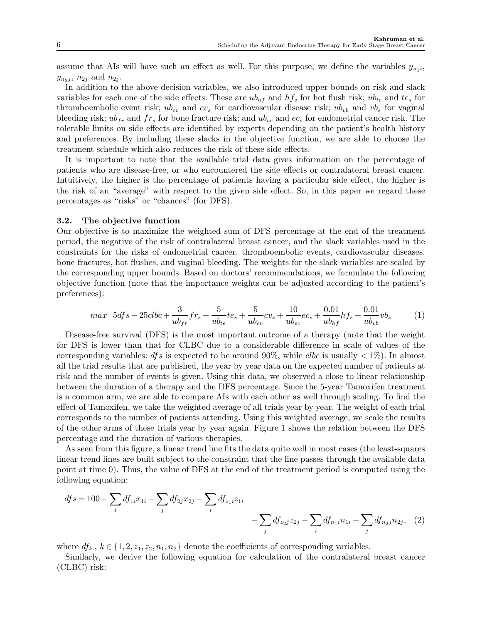assume that AIs will have such an effect as well. For this purpose, we define the variables  $y_{n1i}$ ,  $y_{n_2j}, n_{2j}$  and  $n_{2j}$ .

In addition to the above decision variables, we also introduced upper bounds on risk and slack variables for each one of the side effects. These are  $ub_{hf}$  and  $hf_s$  for hot flush risk;  $ub_{te}$  and  $te_s$  for thromboembolic event risk;  $ub_{cv}$  and  $cv_s$  for cardiovascular disease risk;  $ub_{vb}$  and  $vb_s$  for vaginal bleeding risk;  $ub_{fr}$  and  $fr_s$  for bone fracture risk; and  $ub_{ec}$  and  $ec_s$  for endometrial cancer risk. The tolerable limits on side effects are identified by experts depending on the patient's health history and preferences. By including these slacks in the objective function, we are able to choose the treatment schedule which also reduces the risk of these side effects.

It is important to note that the available trial data gives information on the percentage of patients who are disease-free, or who encountered the side effects or contralateral breast cancer. Intuitively, the higher is the percentage of patients having a particular side effect, the higher is the risk of an "average" with respect to the given side effect. So, in this paper we regard these percentages as "risks" or "chances" (for DFS).

#### 3.2. The objective function

Our objective is to maximize the weighted sum of DFS percentage at the end of the treatment period, the negative of the risk of contralateral breast cancer, and the slack variables used in the constraints for the risks of endometrial cancer, thromboembolic events, cardiovascular diseases, bone fractures, hot flushes, and vaginal bleeding. The weights for the slack variables are scaled by the corresponding upper bounds. Based on doctors' recommendations, we formulate the following objective function (note that the importance weights can be adjusted according to the patient's preferences):

$$
max \ \ 5dfs - 25clbc + \frac{3}{ub_{fr}}fr_s + \frac{5}{ub_{te}}te_s + \frac{5}{ub_{cv}}cv_s + \frac{10}{ub_{ec}}ec_s + \frac{0.01}{ub_{hf}}hf_s + \frac{0.01}{ub_{vb}}vb_s \tag{1}
$$

Disease-free survival (DFS) is the most important outcome of a therapy (note that the weight for DFS is lower than that for CLBC due to a considerable difference in scale of values of the corresponding variables: dfs is expected to be around 90%, while *clbc* is usually  $\langle 1\% \rangle$ . In almost all the trial results that are published, the year by year data on the expected number of patients at risk and the number of events is given. Using this data, we observed a close to linear relationship between the duration of a therapy and the DFS percentage. Since the 5-year Tamoxifen treatment is a common arm, we are able to compare AIs with each other as well through scaling. To find the effect of Tamoxifen, we take the weighted average of all trials year by year. The weight of each trial corresponds to the number of patients attending. Using this weighted average, we scale the results of the other arms of these trials year by year again. Figure 1 shows the relation between the DFS percentage and the duration of various therapies.

As seen from this figure, a linear trend line fits the data quite well in most cases (the least-squares linear trend lines are built subject to the constraint that the line passes through the available data point at time 0). Thus, the value of DFS at the end of the treatment period is computed using the following equation:

$$
dfs = 100 - \sum_{i} df_{1i}x_{1i} - \sum_{j} df_{2j}x_{2j} - \sum_{i} df_{z_{1}i}z_{1i} - \sum_{j} df_{z_{2}j}z_{2j} - \sum_{i} df_{n_{1}i}n_{1i} - \sum_{j} df_{n_{2}j}n_{2j}, \quad (2)
$$

where  $df_k, k \in \{1, 2, z_1, z_2, n_1, n_2\}$  denote the coefficients of corresponding variables.

Similarly, we derive the following equation for calculation of the contralateral breast cancer (CLBC) risk: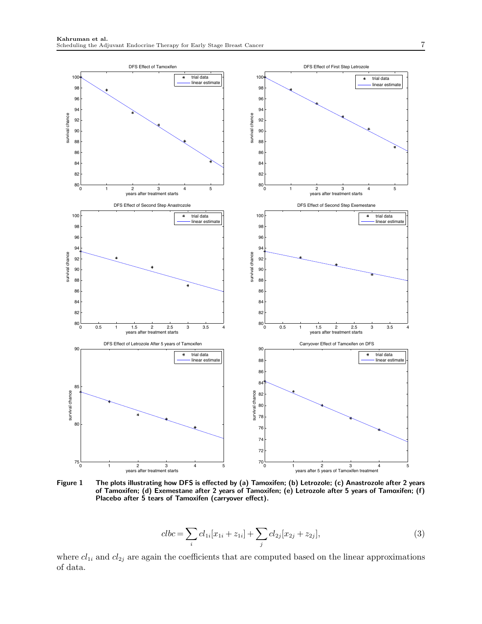

Figure 1 The plots illustrating how DFS is effected by (a) Tamoxifen; (b) Letrozole; (c) Anastrozole after 2 years of Tamoxifen; (d) Exemestane after 2 years of Tamoxifen; (e) Letrozole after 5 years of Tamoxifen; (f) Placebo after 5 tears of Tamoxifen (carryover effect).

$$
clbc = \sum_{i} cl_{1i}[x_{1i} + z_{1i}] + \sum_{j} cl_{2j}[x_{2j} + z_{2j}],
$$
\n(3)

where  $cl_{1i}$  and  $cl_{2j}$  are again the coefficients that are computed based on the linear approximations of data.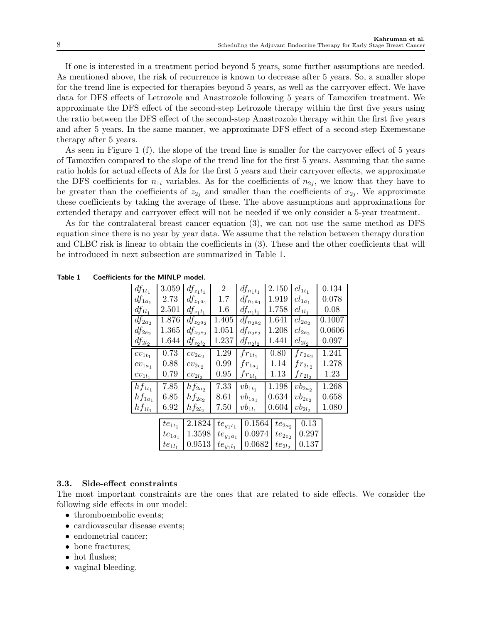If one is interested in a treatment period beyond 5 years, some further assumptions are needed. As mentioned above, the risk of recurrence is known to decrease after 5 years. So, a smaller slope for the trend line is expected for therapies beyond 5 years, as well as the carryover effect. We have data for DFS effects of Letrozole and Anastrozole following 5 years of Tamoxifen treatment. We approximate the DFS effect of the second-step Letrozole therapy within the first five years using the ratio between the DFS effect of the second-step Anastrozole therapy within the first five years and after 5 years. In the same manner, we approximate DFS effect of a second-step Exemestane therapy after 5 years.

As seen in Figure 1 (f), the slope of the trend line is smaller for the carryover effect of 5 years of Tamoxifen compared to the slope of the trend line for the first 5 years. Assuming that the same ratio holds for actual effects of AIs for the first 5 years and their carryover effects, we approximate the DFS coefficients for  $n_{1i}$  variables. As for the coefficients of  $n_{2i}$ , we know that they have to be greater than the coefficients of  $z_{2i}$  and smaller than the coefficients of  $x_{2i}$ . We approximate these coefficients by taking the average of these. The above assumptions and approximations for extended therapy and carryover effect will not be needed if we only consider a 5-year treatment.

As for the contralateral breast cancer equation (3), we can not use the same method as DFS equation since there is no year by year data. We assume that the relation between therapy duration and CLBC risk is linear to obtain the coefficients in (3). These and the other coefficients that will be introduced in next subsection are summarized in Table 1.

| $df_{1t_1}$            | 3.059       | $df_{z_1t_1}$                              | $\overline{2}$ | $df_{n_1t_1}$          | $2.150\,$   | $cl_{1t_1}$            | 0.134  |
|------------------------|-------------|--------------------------------------------|----------------|------------------------|-------------|------------------------|--------|
| $df_{1a_1}$            | 2.73        | $df_{z_1a_1}$                              | 1.7            | $df_{n_1a_1}$          | 1.919       | $cl_{1a_1}$            | 0.078  |
| $df_{1l\underline{1}}$ | 2.501       | $df_{z_{\underline{1}l_{\underline{1}}} }$ | 1.6            | $df_{n_1l_1}$          | 1.758       | $cl_{1l_1}$            | 0.08   |
| $df_{2a_2}$            | 1.876       | $df_{z_2a_2}$                              | 1.405          | $df_{n_2a_2}$          | 1.641       | $cl_{2a_2}$            | 0.1007 |
| $df_{2e_2}$            | 1.365       | $df_{z_2e_2}$                              | 1.051          | $df_{n_2e_2}$          | 1.208       | $cl_{2e_2}$            | 0.0606 |
| $df_{2l_2}$            | 1.644       | $df_{z_2l_2}$                              | 1.237          | $df_{n_2l_2}$          | 1.441       | $cl_{2l_2}$            | 0.097  |
| $cv_{1t_1}$            | 0.73        | $cv_{2a_2}$                                | 1.29           | $fr_{1t_1}$            | 0.80        | $fr_{2a_2}$            | 1.241  |
| $cv_{1a_1}$            | 0.88        | $cv_{2e_2}$                                | 0.99           | $fr_{1a_1}$            | 1.14        | $fr_{2e_2}$            | 1.278  |
| $cv_{1l_1}$            | 0.79        | $cv_{2l_2}$                                | 0.95           | $fr_{1l_1}$            | 1.13        | $fr_{2l_2}$            | 1.23   |
| $\overline{h}f_{1t_1}$ | 7.85        | $\bar{h}f_{2a_2}$                          | 7.33           | $\overline{v}b_{1t_1}$ | 1.198       | $\overline{v}b_{2a_2}$ | 1.268  |
| $hf_{1a_1}$            | 6.85        | $hf_{2e_2}$                                | 8.61           | $vb_{1a_1}$            | 0.634       | $vb_{2e_2}$            | 0.658  |
| $hf_{1l_1}$            | 6.92        | $hf_{2l_2}$                                | 7.50           | $vb_{1l_1}$            | 0.604       | $vb_{2l_2}$            | 1.080  |
|                        |             |                                            |                |                        |             |                        |        |
|                        | $te_{1t_1}$ | 2.1824                                     | $te_{y_1t_1}$  | 0.1564                 | $te_{2a_2}$ | 0.13                   |        |
|                        | $te_{1a_1}$ | 1.3598                                     | $te_{y_1a_1}$  | 0.0974                 | $te_{2e_2}$ | 0.297                  |        |
|                        | $te_{1l_1}$ | 0.9513                                     | $te_{y_1l_1}$  | 0.0682                 | $te_{2l_2}$ | 0.137                  |        |

Table 1 Coefficients for the MINLP model.

#### 3.3. Side-effect constraints

The most important constraints are the ones that are related to side effects. We consider the following side effects in our model:

- thromboembolic events;
- cardiovascular disease events;
- endometrial cancer;
- bone fractures;
- hot flushes;
- vaginal bleeding.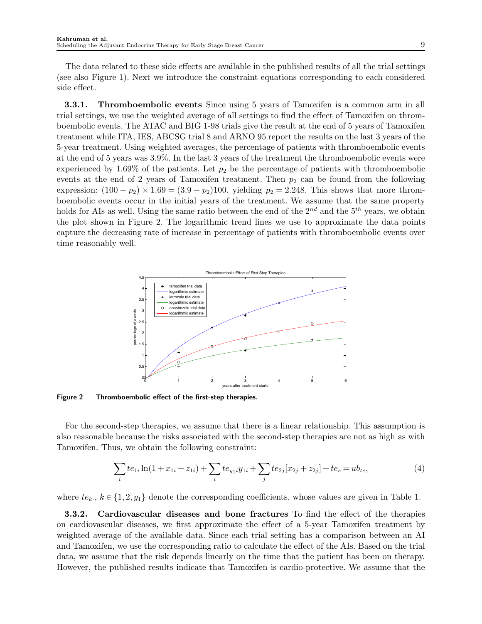The data related to these side effects are available in the published results of all the trial settings (see also Figure 1). Next we introduce the constraint equations corresponding to each considered side effect.

3.3.1. Thromboembolic events Since using 5 years of Tamoxifen is a common arm in all trial settings, we use the weighted average of all settings to find the effect of Tamoxifen on thromboembolic events. The ATAC and BIG 1-98 trials give the result at the end of 5 years of Tamoxifen treatment while ITA, IES, ABCSG trial 8 and ARNO 95 report the results on the last 3 years of the 5-year treatment. Using weighted averages, the percentage of patients with thromboembolic events at the end of 5 years was 3.9%. In the last 3 years of the treatment the thromboembolic events were experienced by 1.69% of the patients. Let  $p_2$  be the percentage of patients with thromboembolic events at the end of 2 years of Tamoxifen treatment. Then  $p_2$  can be found from the following expression:  $(100 - p_2) \times 1.69 = (3.9 - p_2)100$ , yielding  $p_2 = 2.248$ . This shows that more thromboembolic events occur in the initial years of the treatment. We assume that the same property holds for AIs as well. Using the same ratio between the end of the  $2^{nd}$  and the  $5^{th}$  years, we obtain the plot shown in Figure 2. The logarithmic trend lines we use to approximate the data points capture the decreasing rate of increase in percentage of patients with thromboembolic events over time reasonably well.



Figure 2 Thromboembolic effect of the first-step therapies.

For the second-step therapies, we assume that there is a linear relationship. This assumption is also reasonable because the risks associated with the second-step therapies are not as high as with Tamoxifen. Thus, we obtain the following constraint:

$$
\sum_{i} t e_{1i} \ln(1 + x_{1i} + z_{1i}) + \sum_{i} t e_{y_1 i} y_{1i} + \sum_{j} t e_{2j} [x_{2j} + z_{2j}] + t e_s = u b_{te}, \tag{4}
$$

where  $te_k, k \in \{1, 2, y_1\}$  denote the corresponding coefficients, whose values are given in Table 1.

3.3.2. Cardiovascular diseases and bone fractures To find the effect of the therapies on cardiovascular diseases, we first approximate the effect of a 5-year Tamoxifen treatment by weighted average of the available data. Since each trial setting has a comparison between an AI and Tamoxifen, we use the corresponding ratio to calculate the effect of the AIs. Based on the trial data, we assume that the risk depends linearly on the time that the patient has been on therapy. However, the published results indicate that Tamoxifen is cardio-protective. We assume that the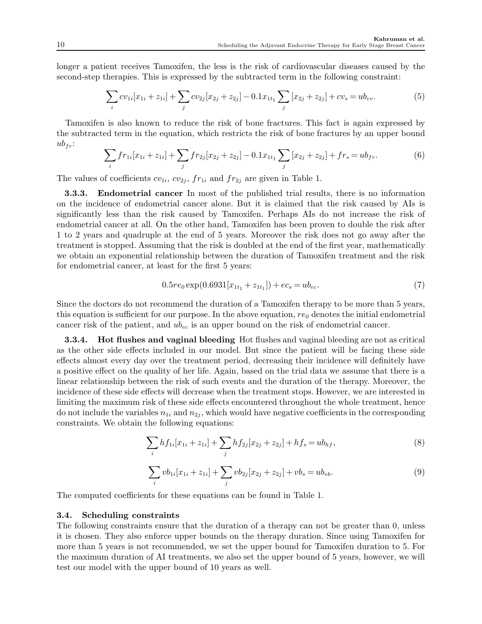longer a patient receives Tamoxifen, the less is the risk of cardiovascular diseases caused by the second-step therapies. This is expressed by the subtracted term in the following constraint:

$$
\sum_{i} cv_{1i}[x_{1i} + z_{1i}] + \sum_{j} cv_{2j}[x_{2j} + z_{2j}] - 0.1x_{1t_1}\sum_{j}[x_{2j} + z_{2j}] + cv_s = ub_{cv}.
$$
 (5)

Tamoxifen is also known to reduce the risk of bone fractures. This fact is again expressed by the subtracted term in the equation, which restricts the risk of bone fractures by an upper bound  $ub_{fr}$ :

$$
\sum_{i} fr_{1i}[x_{1i} + z_{1i}] + \sum_{j} fr_{2j}[x_{2j} + z_{2j}] - 0.1x_{1t_1} \sum_{j} [x_{2j} + z_{2j}] + fr_s = ub_{fr}.
$$
 (6)

The values of coefficients  $cv_{1i}$ ,  $cv_{2i}$ ,  $fr_{1i}$  and  $fr_{2i}$  are given in Table 1.

**3.3.3.** Endometrial cancer In most of the published trial results, there is no information on the incidence of endometrial cancer alone. But it is claimed that the risk caused by AIs is significantly less than the risk caused by Tamoxifen. Perhaps AIs do not increase the risk of endometrial cancer at all. On the other hand, Tamoxifen has been proven to double the risk after 1 to 2 years and quadruple at the end of 5 years. Moreover the risk does not go away after the treatment is stopped. Assuming that the risk is doubled at the end of the first year, mathematically we obtain an exponential relationship between the duration of Tamoxifen treatment and the risk for endometrial cancer, at least for the first 5 years:

$$
0.5re_0 \exp(0.6931[x_{1t_1} + z_{1t_1}]) + ec_s = ub_{ec}.\tag{7}
$$

Since the doctors do not recommend the duration of a Tamoxifen therapy to be more than 5 years, this equation is sufficient for our purpose. In the above equation,  $re_0$  denotes the initial endometrial cancer risk of the patient, and  $ub_{ec}$  is an upper bound on the risk of endometrial cancer.

3.3.4. Hot flushes and vaginal bleeding Hot flushes and vaginal bleeding are not as critical as the other side effects included in our model. But since the patient will be facing these side effects almost every day over the treatment period, decreasing their incidence will definitely have a positive effect on the quality of her life. Again, based on the trial data we assume that there is a linear relationship between the risk of such events and the duration of the therapy. Moreover, the incidence of these side effects will decrease when the treatment stops. However, we are interested in limiting the maximum risk of these side effects encountered throughout the whole treatment, hence do not include the variables  $n_{1i}$  and  $n_{2i}$ , which would have negative coefficients in the corresponding constraints. We obtain the following equations:

$$
\sum_{i} h f_{1i}[x_{1i} + z_{1i}] + \sum_{j} h f_{2j}[x_{2j} + z_{2j}] + h f_s = u b_{hf},\tag{8}
$$

$$
\sum_{i} v b_{1i}[x_{1i} + z_{1i}] + \sum_{j} v b_{2j}[x_{2j} + z_{2j}] + v b_{s} = u b_{vb}.
$$
\n(9)

The computed coefficients for these equations can be found in Table 1.

#### 3.4. Scheduling constraints

The following constraints ensure that the duration of a therapy can not be greater than 0, unless it is chosen. They also enforce upper bounds on the therapy duration. Since using Tamoxifen for more than 5 years is not recommended, we set the upper bound for Tamoxifen duration to 5. For the maximum duration of AI treatments, we also set the upper bound of 5 years, however, we will test our model with the upper bound of 10 years as well.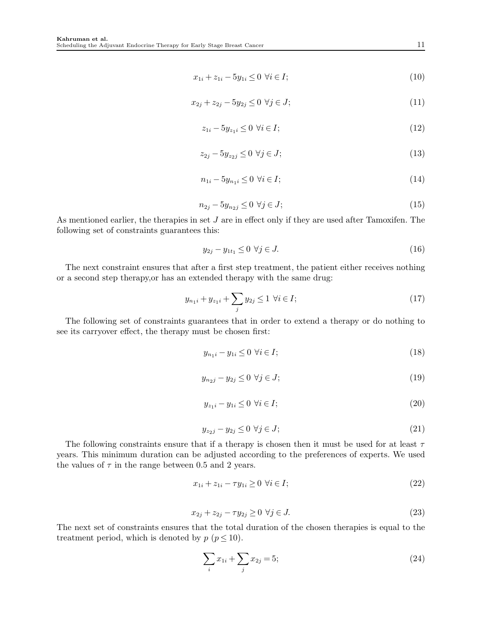$$
x_{1i} + z_{1i} - 5y_{1i} \le 0 \ \forall i \in I;
$$
\n<sup>(10)</sup>

$$
x_{2j} + z_{2j} - 5y_{2j} \le 0 \ \forall j \in J;
$$
\n<sup>(11)</sup>

$$
z_{1i} - 5y_{z_1i} \le 0 \ \forall i \in I; \tag{12}
$$

$$
z_{2j} - 5y_{z_2j} \le 0 \ \forall j \in J; \tag{13}
$$

$$
n_{1i} - 5y_{n_1i} \le 0 \ \forall i \in I; \tag{14}
$$

$$
n_{2j} - 5y_{n_2j} \le 0 \ \forall j \in J; \tag{15}
$$

As mentioned earlier, the therapies in set  $J$  are in effect only if they are used after Tamoxifen. The following set of constraints guarantees this:

$$
y_{2j} - y_{1t_1} \le 0 \ \forall j \in J. \tag{16}
$$

The next constraint ensures that after a first step treatment, the patient either receives nothing or a second step therapy,or has an extended therapy with the same drug:

$$
y_{n_1i} + y_{z_1i} + \sum_j y_{2j} \le 1 \ \forall i \in I; \tag{17}
$$

The following set of constraints guarantees that in order to extend a therapy or do nothing to see its carryover effect, the therapy must be chosen first:

$$
y_{n_1i} - y_{1i} \le 0 \ \forall i \in I; \tag{18}
$$

$$
y_{n_2j} - y_{2j} \le 0 \ \forall j \in J; \tag{19}
$$

$$
y_{z_1i} - y_{1i} \le 0 \ \forall i \in I; \tag{20}
$$

$$
y_{z_2j} - y_{2j} \le 0 \ \forall j \in J; \tag{21}
$$

The following constraints ensure that if a therapy is chosen then it must be used for at least  $\tau$ years. This minimum duration can be adjusted according to the preferences of experts. We used the values of  $\tau$  in the range between 0.5 and 2 years.

$$
x_{1i} + z_{1i} - \tau y_{1i} \ge 0 \ \forall i \in I; \tag{22}
$$

$$
x_{2j} + z_{2j} - \tau y_{2j} \ge 0 \ \forall j \in J. \tag{23}
$$

The next set of constraints ensures that the total duration of the chosen therapies is equal to the treatment period, which is denoted by  $p \ (p \leq 10)$ .

$$
\sum_{i} x_{1i} + \sum_{j} x_{2j} = 5; \tag{24}
$$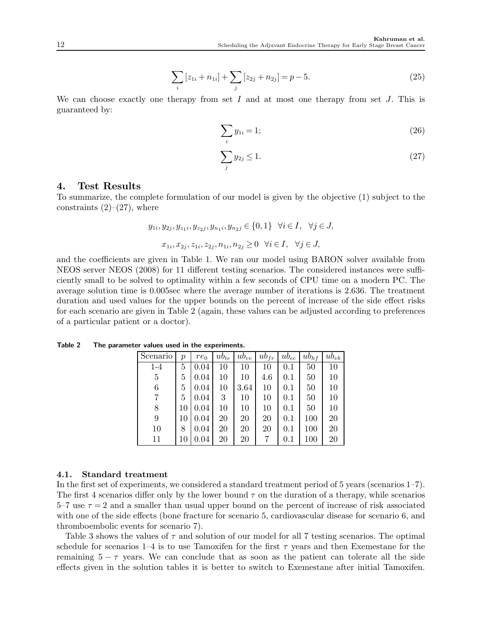$$
\sum_{i} [z_{1i} + n_{1i}] + \sum_{j} [z_{2j} + n_{2j}] = p - 5.
$$
 (25)

We can choose exactly one therapy from set I and at most one therapy from set  $J$ . This is guaranteed by:

$$
\sum_{i} y_{1i} = 1; \tag{26}
$$

$$
\sum_{j} y_{2j} \le 1. \tag{27}
$$

#### 4. Test Results

To summarize, the complete formulation of our model is given by the objective (1) subject to the constraints  $(2)-(27)$ , where

$$
y_{1i}, y_{2j}, y_{z_1i}, y_{z_2j}, y_{n_1i}, y_{n_2j} \in \{0, 1\} \quad \forall i \in I, \quad \forall j \in J,
$$
  

$$
x_{1i}, x_{2j}, z_{1i}, z_{2j}, n_{1i}, n_{2j} \ge 0 \quad \forall i \in I, \quad \forall j \in J,
$$

and the coefficients are given in Table 1. We ran our model using BARON solver available from NEOS server NEOS (2008) for 11 different testing scenarios. The considered instances were sufficiently small to be solved to optimality within a few seconds of CPU time on a modern PC. The average solution time is 0.005sec where the average number of iterations is 2.636. The treatment duration and used values for the upper bounds on the percent of increase of the side effect risks for each scenario are given in Table 2 (again, these values can be adjusted according to preferences of a particular patient or a doctor).

| Scenario       | $\mathcal{p}$ | $re_0$ | $ub_{te}$ | $ub_{cv}$ | $ub_{fr}$ | $ub_{ec}$ | $ub_{hf}$ | $ub_{vb}$ |
|----------------|---------------|--------|-----------|-----------|-----------|-----------|-----------|-----------|
| $1-4$          | 5             | 0.04   | 10        | 10        | 10        | 0.1       | 50        | 10        |
| $\overline{5}$ | 5             | 0.04   | 10        | 10        | 4.6       | 0.1       | 50        | 10        |
| 6              | 5             | 0.04   | 10        | 3.64      | 10        | 0.1       | 50        | 10        |
|                | 5             | 0.04   | 3         | 10        | 10        | 0.1       | 50        | 10        |
| 8              | 10            | 0.04   | 10        | 10        | 10        | 0.1       | 50        | 10        |
| 9              | 10            | 0.04   | 20        | 20        | 20        | 0.1       | 100       | 20        |
| 10             | 8             | 0.04   | 20        | 20        | 20        | 0.1       | 100       | 20        |
| 11             | 10            | 0.04   | 20        | 20        |           | 0.1       | 100       | 20        |

Table 2 The parameter values used in the experiments.

#### 4.1. Standard treatment

In the first set of experiments, we considered a standard treatment period of 5 years (scenarios 1–7). The first 4 scenarios differ only by the lower bound  $\tau$  on the duration of a therapy, while scenarios 5–7 use  $\tau = 2$  and a smaller than usual upper bound on the percent of increase of risk associated with one of the side effects (bone fracture for scenario 5, cardiovascular disease for scenario 6, and thromboembolic events for scenario 7).

Table 3 shows the values of  $\tau$  and solution of our model for all 7 testing scenarios. The optimal schedule for scenarios 1–4 is to use Tamoxifen for the first  $\tau$  years and then Exemestane for the remaining  $5 - \tau$  years. We can conclude that as soon as the patient can tolerate all the side effects given in the solution tables it is better to switch to Exemestane after initial Tamoxifen.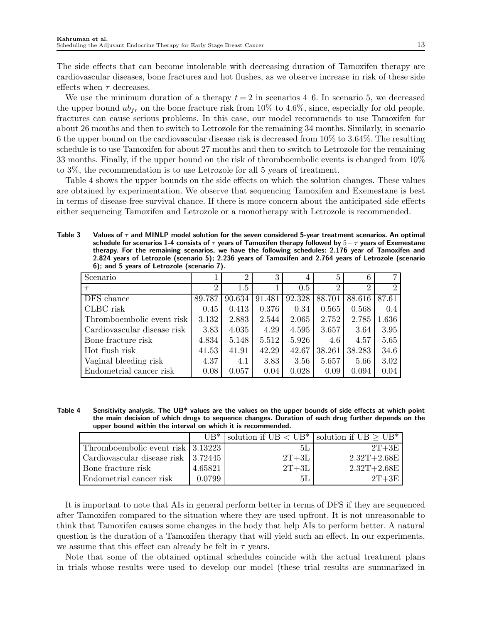The side effects that can become intolerable with decreasing duration of Tamoxifen therapy are cardiovascular diseases, bone fractures and hot flushes, as we observe increase in risk of these side effects when  $\tau$  decreases.

We use the minimum duration of a therapy  $t = 2$  in scenarios 4–6. In scenario 5, we decreased the upper bound  $ub_{fr}$  on the bone fracture risk from 10% to 4.6%, since, especially for old people, fractures can cause serious problems. In this case, our model recommends to use Tamoxifen for about 26 months and then to switch to Letrozole for the remaining 34 months. Similarly, in scenario 6 the upper bound on the cardiovascular disease risk is decreased from 10% to 3.64%. The resulting schedule is to use Tamoxifen for about 27 months and then to switch to Letrozole for the remaining 33 months. Finally, if the upper bound on the risk of thromboembolic events is changed from 10% to 3%, the recommendation is to use Letrozole for all 5 years of treatment.

Table 4 shows the upper bounds on the side effects on which the solution changes. These values are obtained by experimentation. We observe that sequencing Tamoxifen and Exemestane is best in terms of disease-free survival chance. If there is more concern about the anticipated side effects either sequencing Tamoxifen and Letrozole or a monotherapy with Letrozole is recommended.

Table 3 Values of  $\tau$  and MINLP model solution for the seven considered 5-year treatment scenarios. An optimal schedule for scenarios 1-4 consists of  $\tau$  years of Tamoxifen therapy followed by  $5-\tau$  years of Exemestane therapy. For the remaining scenarios, we have the following schedules: 2.176 year of Tamoxifen and 2.824 years of Letrozole (scenario 5); 2.236 years of Tamoxifen and 2.764 years of Letrozole (scenario 6); and 5 years of Letrozole (scenario 7).

| Scenario                    |                | າ      | 3      | 4      | $\overline{5}$ | 6              |                             |
|-----------------------------|----------------|--------|--------|--------|----------------|----------------|-----------------------------|
| $\tau$                      | $\overline{2}$ | 1.5    |        | 0.5    | $\overline{2}$ | $\overline{2}$ | $\mathcal{D}_{\mathcal{L}}$ |
| DFS chance                  | 89.787         | 90.634 | 91.481 | 92.328 | 88.701         | 88.616         | 87.61                       |
| CLBC risk                   | 0.45           | 0.413  | 0.376  | 0.34   | 0.565          | 0.568          | 0.4                         |
| Thromboembolic event risk   | 3.132          | 2.883  | 2.544  | 2.065  | 2.752          | 2.785          | 1.636                       |
| Cardiovascular disease risk | 3.83           | 4.035  | 4.29   | 4.595  | 3.657          | 3.64           | 3.95                        |
| Bone fracture risk          | 4.834          | 5.148  | 5.512  | 5.926  | 4.6            | 4.57           | 5.65                        |
| Hot flush risk              | 41.53          | 41.91  | 42.29  | 42.67  | 38.261         | 38.283         | 34.6                        |
| Vaginal bleeding risk       | 4.37           | 4.1    | 3.83   | 3.56   | 5.657          | 5.66           | 3.02                        |
| Endometrial cancer risk     | 0.08           | 0.057  | 0.04   | 0.028  | 0.09           | 0.094          | 0.04                        |

Table 4 Sensitivity analysis. The UB\* values are the values on the upper bounds of side effects at which point the main decision of which drugs to sequence changes. Duration of each drug further depends on the upper bound within the interval on which it is recommended.

|                                       |         | $UB^*$ solution if $UB < UB^*$ solution if $UB > UB^*$ |                 |
|---------------------------------------|---------|--------------------------------------------------------|-----------------|
| Thromboembolic event risk 3.13223     |         | 51.                                                    | $2T+3E$         |
| Cardiovascular disease risk   3.72445 |         | $2T+3L$                                                | $2.32T + 2.68E$ |
| Bone fracture risk                    | 4.65821 | $2T+3L$                                                | $2.32T + 2.68E$ |
| Endometrial cancer risk               | 0.0799  | 5Ь                                                     | $2T+3E$         |

It is important to note that AIs in general perform better in terms of DFS if they are sequenced after Tamoxifen compared to the situation where they are used upfront. It is not unreasonable to think that Tamoxifen causes some changes in the body that help AIs to perform better. A natural question is the duration of a Tamoxifen therapy that will yield such an effect. In our experiments, we assume that this effect can already be felt in  $\tau$  years.

Note that some of the obtained optimal schedules coincide with the actual treatment plans in trials whose results were used to develop our model (these trial results are summarized in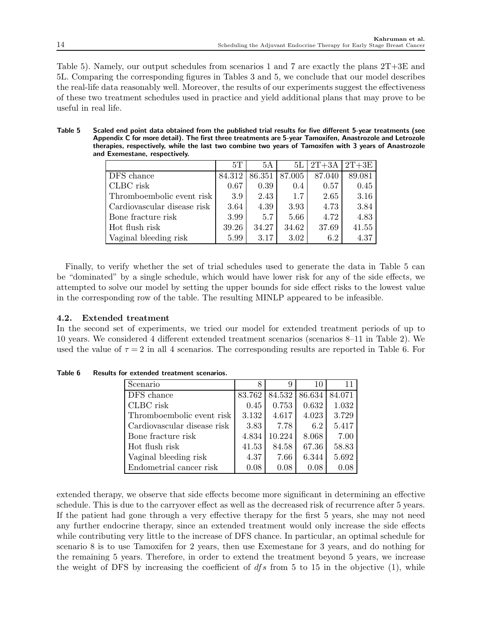Table 5). Namely, our output schedules from scenarios 1 and 7 are exactly the plans 2T+3E and 5L. Comparing the corresponding figures in Tables 3 and 5, we conclude that our model describes the real-life data reasonably well. Moreover, the results of our experiments suggest the effectiveness of these two treatment schedules used in practice and yield additional plans that may prove to be useful in real life.

| Table 5 | Scaled end point data obtained from the published trial results for five different 5-year treatments (see |
|---------|-----------------------------------------------------------------------------------------------------------|
|         | Appendix C for more detail). The first three treatments are 5-year Tamoxifen, Anastrozole and Letrozole   |
|         | therapies, respectively, while the last two combine two years of Tamoxifen with 3 years of Anastrozole    |
|         | and Exemestane, respectively.                                                                             |

|                             | 5T     | 5A     | $5L$          | $2T+3A$ $2T+3E$ |        |
|-----------------------------|--------|--------|---------------|-----------------|--------|
| DFS chance                  | 84.312 | 86.351 | 87.005        | 87.040          | 89.081 |
| CLBC risk                   | 0.67   | 0.39   | $0.4^{\circ}$ | 0.57            | 0.45   |
| Thromboembolic event risk   | 3.9    | 2.43   | 1.7           | 2.65            | 3.16   |
| Cardiovascular disease risk | 3.64   | 4.39   | 3.93          | 4.73            | 3.84   |
| Bone fracture risk          | 3.99   | 5.7    | 5.66          | 4.72            | 4.83   |
| Hot flush risk              | 39.26  | 34.27  | 34.62         | 37.69           | 41.55  |
| Vaginal bleeding risk       | 5.99   | 3.17   | 3.02          | 6.2             | 4.37   |

Finally, to verify whether the set of trial schedules used to generate the data in Table 5 can be "dominated" by a single schedule, which would have lower risk for any of the side effects, we attempted to solve our model by setting the upper bounds for side effect risks to the lowest value in the corresponding row of the table. The resulting MINLP appeared to be infeasible.

# 4.2. Extended treatment

In the second set of experiments, we tried our model for extended treatment periods of up to 10 years. We considered 4 different extended treatment scenarios (scenarios 8–11 in Table 2). We used the value of  $\tau = 2$  in all 4 scenarios. The corresponding results are reported in Table 6. For

| Scenario                    |        |        | 10              |       |
|-----------------------------|--------|--------|-----------------|-------|
| DFS chance                  | 83.762 | 84.532 | 86.634   84.071 |       |
| CLBC risk                   | 0.45   | 0.753  | 0.632           | 1.032 |
| Thromboembolic event risk   | 3.132  | 4.617  | 4.023           | 3.729 |
| Cardiovascular disease risk | 3.83   | 7.78   | 6.2             | 5.417 |
| Bone fracture risk          | 4.834  | 10.224 | 8.068           | 7.00  |
| Hot flush risk              | 41.53  | 84.58  | 67.36           | 58.83 |
| Vaginal bleeding risk       | 4.37   | 7.66   | 6.344           | 5.692 |
| Endometrial cancer risk     | 0.08   | 0.08   | 0.08            |       |

Table 6 Results for extended treatment scenarios.

extended therapy, we observe that side effects become more significant in determining an effective schedule. This is due to the carryover effect as well as the decreased risk of recurrence after 5 years. If the patient had gone through a very effective therapy for the first 5 years, she may not need any further endocrine therapy, since an extended treatment would only increase the side effects while contributing very little to the increase of DFS chance. In particular, an optimal schedule for scenario 8 is to use Tamoxifen for 2 years, then use Exemestane for 3 years, and do nothing for the remaining 5 years. Therefore, in order to extend the treatment beyond 5 years, we increase the weight of DFS by increasing the coefficient of  $dfs$  from 5 to 15 in the objective (1), while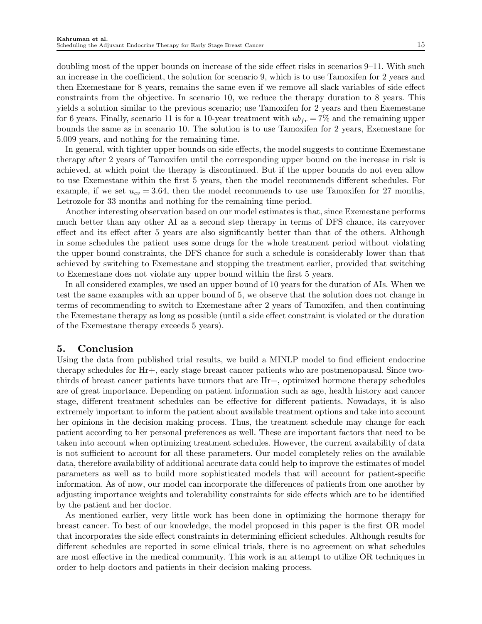doubling most of the upper bounds on increase of the side effect risks in scenarios 9–11. With such an increase in the coefficient, the solution for scenario 9, which is to use Tamoxifen for 2 years and then Exemestane for 8 years, remains the same even if we remove all slack variables of side effect constraints from the objective. In scenario 10, we reduce the therapy duration to 8 years. This yields a solution similar to the previous scenario; use Tamoxifen for 2 years and then Exemestane for 6 years. Finally, scenario 11 is for a 10-year treatment with  $ub_{fr} = 7\%$  and the remaining upper bounds the same as in scenario 10. The solution is to use Tamoxifen for 2 years, Exemestane for 5.009 years, and nothing for the remaining time.

In general, with tighter upper bounds on side effects, the model suggests to continue Exemestane therapy after 2 years of Tamoxifen until the corresponding upper bound on the increase in risk is achieved, at which point the therapy is discontinued. But if the upper bounds do not even allow to use Exemestane within the first 5 years, then the model recommends different schedules. For example, if we set  $u_{cv} = 3.64$ , then the model recommends to use use Tamoxifen for 27 months, Letrozole for 33 months and nothing for the remaining time period.

Another interesting observation based on our model estimates is that, since Exemestane performs much better than any other AI as a second step therapy in terms of DFS chance, its carryover effect and its effect after 5 years are also significantly better than that of the others. Although in some schedules the patient uses some drugs for the whole treatment period without violating the upper bound constraints, the DFS chance for such a schedule is considerably lower than that achieved by switching to Exemestane and stopping the treatment earlier, provided that switching to Exemestane does not violate any upper bound within the first 5 years.

In all considered examples, we used an upper bound of 10 years for the duration of AIs. When we test the same examples with an upper bound of 5, we observe that the solution does not change in terms of recommending to switch to Exemestane after 2 years of Tamoxifen, and then continuing the Exemestane therapy as long as possible (until a side effect constraint is violated or the duration of the Exemestane therapy exceeds 5 years).

# 5. Conclusion

Using the data from published trial results, we build a MINLP model to find efficient endocrine therapy schedules for Hr+, early stage breast cancer patients who are postmenopausal. Since twothirds of breast cancer patients have tumors that are Hr+, optimized hormone therapy schedules are of great importance. Depending on patient information such as age, health history and cancer stage, different treatment schedules can be effective for different patients. Nowadays, it is also extremely important to inform the patient about available treatment options and take into account her opinions in the decision making process. Thus, the treatment schedule may change for each patient according to her personal preferences as well. These are important factors that need to be taken into account when optimizing treatment schedules. However, the current availability of data is not sufficient to account for all these parameters. Our model completely relies on the available data, therefore availability of additional accurate data could help to improve the estimates of model parameters as well as to build more sophisticated models that will account for patient-specific information. As of now, our model can incorporate the differences of patients from one another by adjusting importance weights and tolerability constraints for side effects which are to be identified by the patient and her doctor.

As mentioned earlier, very little work has been done in optimizing the hormone therapy for breast cancer. To best of our knowledge, the model proposed in this paper is the first OR model that incorporates the side effect constraints in determining efficient schedules. Although results for different schedules are reported in some clinical trials, there is no agreement on what schedules are most effective in the medical community. This work is an attempt to utilize OR techniques in order to help doctors and patients in their decision making process.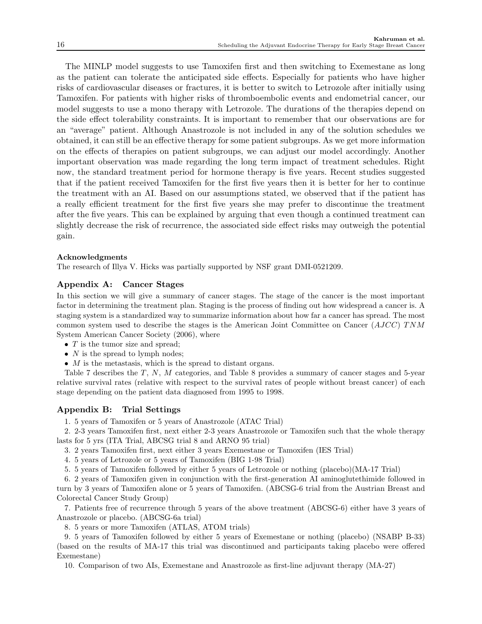The MINLP model suggests to use Tamoxifen first and then switching to Exemestane as long as the patient can tolerate the anticipated side effects. Especially for patients who have higher risks of cardiovascular diseases or fractures, it is better to switch to Letrozole after initially using Tamoxifen. For patients with higher risks of thromboembolic events and endometrial cancer, our model suggests to use a mono therapy with Letrozole. The durations of the therapies depend on the side effect tolerability constraints. It is important to remember that our observations are for an "average" patient. Although Anastrozole is not included in any of the solution schedules we obtained, it can still be an effective therapy for some patient subgroups. As we get more information on the effects of therapies on patient subgroups, we can adjust our model accordingly. Another important observation was made regarding the long term impact of treatment schedules. Right now, the standard treatment period for hormone therapy is five years. Recent studies suggested that if the patient received Tamoxifen for the first five years then it is better for her to continue the treatment with an AI. Based on our assumptions stated, we observed that if the patient has a really efficient treatment for the first five years she may prefer to discontinue the treatment after the five years. This can be explained by arguing that even though a continued treatment can slightly decrease the risk of recurrence, the associated side effect risks may outweigh the potential gain.

#### Acknowledgments

The research of Illya V. Hicks was partially supported by NSF grant DMI-0521209.

#### Appendix A: Cancer Stages

In this section we will give a summary of cancer stages. The stage of the cancer is the most important factor in determining the treatment plan. Staging is the process of finding out how widespread a cancer is. A staging system is a standardized way to summarize information about how far a cancer has spread. The most common system used to describe the stages is the American Joint Committee on Cancer (AJCC) TNM System American Cancer Society (2006), where

- $T$  is the tumor size and spread;
- $N$  is the spread to lymph nodes;
- $\bullet$  *M* is the metastasis, which is the spread to distant organs.

Table 7 describes the  $T, N, M$  categories, and Table 8 provides a summary of cancer stages and 5-year relative survival rates (relative with respect to the survival rates of people without breast cancer) of each stage depending on the patient data diagnosed from 1995 to 1998.

# Appendix B: Trial Settings

1. 5 years of Tamoxifen or 5 years of Anastrozole (ATAC Trial)

2. 2-3 years Tamoxifen first, next either 2-3 years Anastrozole or Tamoxifen such that the whole therapy lasts for 5 yrs (ITA Trial, ABCSG trial 8 and ARNO 95 trial)

- 3. 2 years Tamoxifen first, next either 3 years Exemestane or Tamoxifen (IES Trial)
- 4. 5 years of Letrozole or 5 years of Tamoxifen (BIG 1-98 Trial)

5. 5 years of Tamoxifen followed by either 5 years of Letrozole or nothing (placebo)(MA-17 Trial)

6. 2 years of Tamoxifen given in conjunction with the first-generation AI aminoglutethimide followed in turn by 3 years of Tamoxifen alone or 5 years of Tamoxifen. (ABCSG-6 trial from the Austrian Breast and Colorectal Cancer Study Group)

7. Patients free of recurrence through 5 years of the above treatment (ABCSG-6) either have 3 years of Anastrozole or placebo. (ABCSG-6a trial)

8. 5 years or more Tamoxifen (ATLAS, ATOM trials)

9. 5 years of Tamoxifen followed by either 5 years of Exemestane or nothing (placebo) (NSABP B-33) (based on the results of MA-17 this trial was discontinued and participants taking placebo were offered Exemestane)

10. Comparison of two AIs, Exemestane and Anastrozole as first-line adjuvant therapy (MA-27)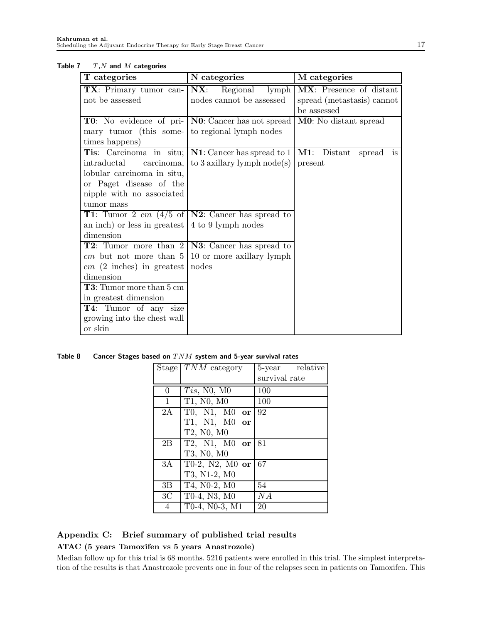| Table 7 |  | $T$ , N and M categories |
|---------|--|--------------------------|
|         |  |                          |

| T categories                        | N categories                                                                  | M categories                        |
|-------------------------------------|-------------------------------------------------------------------------------|-------------------------------------|
| <b>TX</b> : Primary tumor can-      | $\mathbf{N} \mathbf{X}$ :<br>Regional lymph                                   | MX: Presence of distant             |
| not be assessed                     | nodes cannot be assessed                                                      | spread (metastasis) cannot          |
|                                     |                                                                               | be assessed                         |
| T0: No evidence of pri-             | <b>NO</b> : Cancer has not spread                                             | <b>M0</b> : No distant spread       |
| mary tumor (this some-              | to regional lymph nodes                                                       |                                     |
| times happens)                      |                                                                               |                                     |
| <b>Tis:</b> Carcinoma in situ;      | $N1:$ Cancer has spread to 1                                                  | <b>M1</b> : Distant<br>is<br>spread |
| intraductal<br>carcinoma,           | to 3 axillary lymph $node(s)$                                                 | present                             |
| lobular carcinoma in situ,          |                                                                               |                                     |
| or Paget disease of the             |                                                                               |                                     |
| nipple with no associated           |                                                                               |                                     |
| tumor mass                          |                                                                               |                                     |
|                                     | <b>T1</b> : Tumor 2 cm $(4/5 \text{ of } \mathbf{N2})$ : Cancer has spread to |                                     |
| an inch) or less in greatest        | 4 to 9 lymph nodes                                                            |                                     |
| dimension                           |                                                                               |                                     |
| <b>T2:</b> Tumor more than $2 \mid$ | N3: Cancer has spread to                                                      |                                     |
| $cm$ but not more than 5            | 10 or more axillary lymph                                                     |                                     |
| $cm (2$ inches) in greatest         | nodes                                                                         |                                     |
| dimension                           |                                                                               |                                     |
| <b>T3:</b> Tumor more than 5 cm     |                                                                               |                                     |
| in greatest dimension               |                                                                               |                                     |
| <b>T4:</b> Tumor of any size        |                                                                               |                                     |
| growing into the chest wall         |                                                                               |                                     |
| or skin                             |                                                                               |                                     |

Table 8 Cancer Stages based on  $TNM$  system and 5-year survival rates

|                | Stage $TNM$ category | 5-year relative |
|----------------|----------------------|-----------------|
|                |                      | survival rate   |
| $\Omega$       | $Tis$ , NO, MO       | 100             |
| $\mathbf{1}$   | T1, N0, M0           | 100             |
| 2A             | T0, N1, M0 or        | 92              |
|                | T1, N1, M0 or        |                 |
|                | T2, N0, M0           |                 |
| 2B             | $T2$ , N1, M0 or     | 81              |
|                | T3, N0, M0           |                 |
| 3A             | T0-2, N2, M0 or      | 67              |
|                | T3, N1-2, M0         |                 |
| 3B             | T4, N0-2, M0         | 54              |
| 3 <sup>C</sup> | T0-4, N3, M0         | N A             |
| 4              | T0-4, N0-3, M1       | 20              |

# Appendix C: Brief summary of published trial results

#### ATAC (5 years Tamoxifen vs 5 years Anastrozole)

Median follow up for this trial is 68 months. 5216 patients were enrolled in this trial. The simplest interpretation of the results is that Anastrozole prevents one in four of the relapses seen in patients on Tamoxifen. This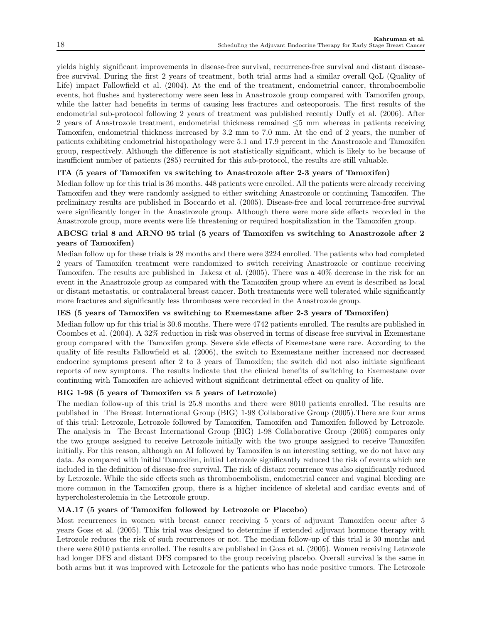yields highly significant improvements in disease-free survival, recurrence-free survival and distant diseasefree survival. During the first 2 years of treatment, both trial arms had a similar overall QoL (Quality of Life) impact Fallowfield et al. (2004). At the end of the treatment, endometrial cancer, thromboembolic events, hot flushes and hysterectomy were seen less in Anastrozole group compared with Tamoxifen group, while the latter had benefits in terms of causing less fractures and osteoporosis. The first results of the endometrial sub-protocol following 2 years of treatment was published recently Duffy et al. (2006). After 2 years of Anastrozole treatment, endometrial thickness remained ≤5 mm whereas in patients receiving Tamoxifen, endometrial thickness increased by 3.2 mm to 7.0 mm. At the end of 2 years, the number of patients exhibiting endometrial histopathology were 5.1 and 17.9 percent in the Anastrozole and Tamoxifen group, respectively. Although the difference is not statistically significant, which is likely to be because of insufficient number of patients (285) recruited for this sub-protocol, the results are still valuable.

# ITA (5 years of Tamoxifen vs switching to Anastrozole after 2-3 years of Tamoxifen)

Median follow up for this trial is 36 months. 448 patients were enrolled. All the patients were already receiving Tamoxifen and they were randomly assigned to either switching Anastrozole or continuing Tamoxifen. The preliminary results are published in Boccardo et al. (2005). Disease-free and local recurrence-free survival were significantly longer in the Anastrozole group. Although there were more side effects recorded in the Anastrozole group, more events were life threatening or required hospitalization in the Tamoxifen group.

# ABCSG trial 8 and ARNO 95 trial (5 years of Tamoxifen vs switching to Anastrozole after 2 years of Tamoxifen)

Median follow up for these trials is 28 months and there were 3224 enrolled. The patients who had completed 2 years of Tamoxifen treatment were randomized to switch receiving Anastrozole or continue receiving Tamoxifen. The results are published in Jakesz et al. (2005). There was a 40% decrease in the risk for an event in the Anastrozole group as compared with the Tamoxifen group where an event is described as local or distant metastatis, or contralateral breast cancer. Both treatments were well tolerated while significantly more fractures and significantly less thromboses were recorded in the Anastrozole group.

# IES (5 years of Tamoxifen vs switching to Exemestane after 2-3 years of Tamoxifen)

Median follow up for this trial is 30.6 months. There were 4742 patients enrolled. The results are published in Coombes et al. (2004). A 32% reduction in risk was observed in terms of disease free survival in Exemestane group compared with the Tamoxifen group. Severe side effects of Exemestane were rare. According to the quality of life results Fallowfield et al. (2006), the switch to Exemestane neither increased nor decreased endocrine symptoms present after 2 to 3 years of Tamoxifen; the switch did not also initiate significant reports of new symptoms. The results indicate that the clinical benefits of switching to Exemestane over continuing with Tamoxifen are achieved without significant detrimental effect on quality of life.

# BIG 1-98 (5 years of Tamoxifen vs 5 years of Letrozole)

The median follow-up of this trial is 25.8 months and there were 8010 patients enrolled. The results are published in The Breast International Group (BIG) 1-98 Collaborative Group (2005).There are four arms of this trial: Letrozole, Letrozole followed by Tamoxifen, Tamoxifen and Tamoxifen followed by Letrozole. The analysis in The Breast International Group (BIG) 1-98 Collaborative Group (2005) compares only the two groups assigned to receive Letrozole initially with the two groups assigned to receive Tamoxifen initially. For this reason, although an AI followed by Tamoxifen is an interesting setting, we do not have any data. As compared with initial Tamoxifen, initial Letrozole significantly reduced the risk of events which are included in the definition of disease-free survival. The risk of distant recurrence was also significantly reduced by Letrozole. While the side effects such as thromboembolism, endometrial cancer and vaginal bleeding are more common in the Tamoxifen group, there is a higher incidence of skeletal and cardiac events and of hypercholesterolemia in the Letrozole group.

# MA.17 (5 years of Tamoxifen followed by Letrozole or Placebo)

Most recurrences in women with breast cancer receiving 5 years of adjuvant Tamoxifen occur after 5 years Goss et al. (2005). This trial was designed to determine if extended adjuvant hormone therapy with Letrozole reduces the risk of such recurrences or not. The median follow-up of this trial is 30 months and there were 8010 patients enrolled. The results are published in Goss et al. (2005). Women receiving Letrozole had longer DFS and distant DFS compared to the group receiving placebo. Overall survival is the same in both arms but it was improved with Letrozole for the patients who has node positive tumors. The Letrozole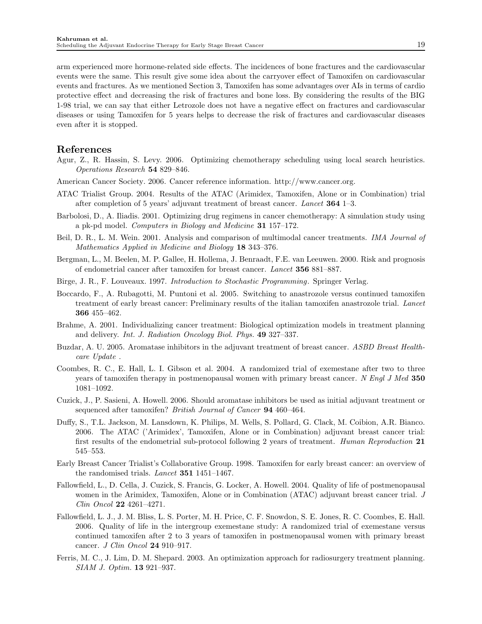arm experienced more hormone-related side effects. The incidences of bone fractures and the cardiovascular events were the same. This result give some idea about the carryover effect of Tamoxifen on cardiovascular events and fractures. As we mentioned Section 3, Tamoxifen has some advantages over AIs in terms of cardio protective effect and decreasing the risk of fractures and bone loss. By considering the results of the BIG 1-98 trial, we can say that either Letrozole does not have a negative effect on fractures and cardiovascular diseases or using Tamoxifen for 5 years helps to decrease the risk of fractures and cardiovascular diseases even after it is stopped.

### References

- Agur, Z., R. Hassin, S. Levy. 2006. Optimizing chemotherapy scheduling using local search heuristics. Operations Research 54 829–846.
- American Cancer Society. 2006. Cancer reference information. http://www.cancer.org.
- ATAC Trialist Group. 2004. Results of the ATAC (Arimidex, Tamoxifen, Alone or in Combination) trial after completion of 5 years' adjuvant treatment of breast cancer. Lancet 364 1–3.
- Barbolosi, D., A. Iliadis. 2001. Optimizing drug regimens in cancer chemotherapy: A simulation study using a pk-pd model. Computers in Biology and Medicine 31 157–172.
- Beil, D. R., L. M. Wein. 2001. Analysis and comparison of multimodal cancer treatments. *IMA Journal of* Mathematics Applied in Medicine and Biology 18 343–376.
- Bergman, L., M. Beelen, M. P. Gallee, H. Hollema, J. Benraadt, F.E. van Leeuwen. 2000. Risk and prognosis of endometrial cancer after tamoxifen for breast cancer. Lancet 356 881–887.
- Birge, J. R., F. Louveaux. 1997. Introduction to Stochastic Programming. Springer Verlag.
- Boccardo, F., A. Rubagotti, M. Puntoni et al. 2005. Switching to anastrozole versus continued tamoxifen treatment of early breast cancer: Preliminary results of the italian tamoxifen anastrozole trial. Lancet 366 455–462.
- Brahme, A. 2001. Individualizing cancer treatment: Biological optimization models in treatment planning and delivery. Int. J. Radiation Oncology Biol. Phys. 49 327–337.
- Buzdar, A. U. 2005. Aromatase inhibitors in the adjuvant treatment of breast cancer. ASBD Breast Healthcare Update .
- Coombes, R. C., E. Hall, L. I. Gibson et al. 2004. A randomized trial of exemestane after two to three years of tamoxifen therapy in postmenopausal women with primary breast cancer. N Engl J Med 350 1081–1092.
- Cuzick, J., P. Sasieni, A. Howell. 2006. Should aromatase inhibitors be used as initial adjuvant treatment or sequenced after tamoxifen? *British Journal of Cancer* **94** 460–464.
- Duffy, S., T.L. Jackson, M. Lansdown, K. Philips, M. Wells, S. Pollard, G. Clack, M. Coibion, A.R. Bianco. 2006. The ATAC ('Arimidex', Tamoxifen, Alone or in Combination) adjuvant breast cancer trial: first results of the endometrial sub-protocol following 2 years of treatment. Human Reproduction 21 545–553.
- Early Breast Cancer Trialist's Collaborative Group. 1998. Tamoxifen for early breast cancer: an overview of the randomised trials. Lancet 351 1451-1467.
- Fallowfield, L., D. Cella, J. Cuzick, S. Francis, G. Locker, A. Howell. 2004. Quality of life of postmenopausal women in the Arimidex, Tamoxifen, Alone or in Combination (ATAC) adjuvant breast cancer trial. J Clin Oncol 22 4261–4271.
- Fallowfield, L. J., J. M. Bliss, L. S. Porter, M. H. Price, C. F. Snowdon, S. E. Jones, R. C. Coombes, E. Hall. 2006. Quality of life in the intergroup exemestane study: A randomized trial of exemestane versus continued tamoxifen after 2 to 3 years of tamoxifen in postmenopausal women with primary breast cancer. J Clin Oncol 24 910–917.
- Ferris, M. C., J. Lim, D. M. Shepard. 2003. An optimization approach for radiosurgery treatment planning. SIAM J. Optim. 13 921–937.